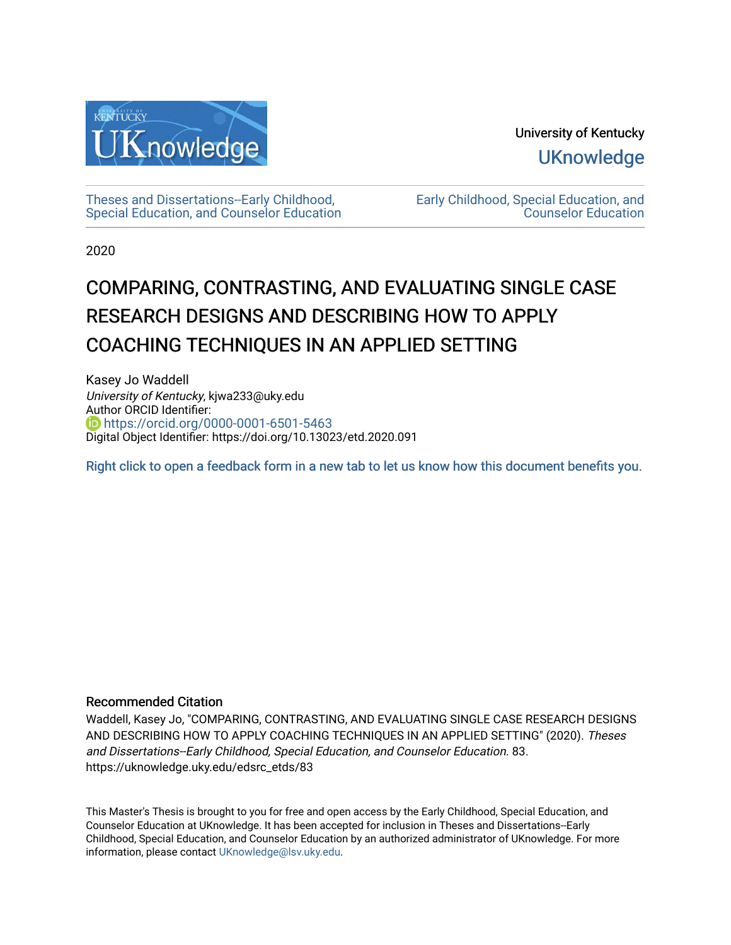

University of Kentucky **UKnowledge** 

[Theses and Dissertations--Early Childhood,](https://uknowledge.uky.edu/edsrc_etds)  [Special Education, and Counselor Education](https://uknowledge.uky.edu/edsrc_etds) [Early Childhood, Special Education, and](https://uknowledge.uky.edu/edsrc)  [Counselor Education](https://uknowledge.uky.edu/edsrc) 

2020

# COMPARING, CONTRASTING, AND EVALUATING SINGLE CASE RESEARCH DESIGNS AND DESCRIBING HOW TO APPLY COACHING TECHNIQUES IN AN APPLIED SETTING

Kasey Jo Waddell University of Kentucky, kjwa233@uky.edu Author ORCID Identifier: **b** https://orcid.org/0000-0001-6501-5463 Digital Object Identifier: https://doi.org/10.13023/etd.2020.091

[Right click to open a feedback form in a new tab to let us know how this document benefits you.](https://uky.az1.qualtrics.com/jfe/form/SV_9mq8fx2GnONRfz7)

# Recommended Citation

Waddell, Kasey Jo, "COMPARING, CONTRASTING, AND EVALUATING SINGLE CASE RESEARCH DESIGNS AND DESCRIBING HOW TO APPLY COACHING TECHNIQUES IN AN APPLIED SETTING" (2020). Theses and Dissertations--Early Childhood, Special Education, and Counselor Education. 83. https://uknowledge.uky.edu/edsrc\_etds/83

This Master's Thesis is brought to you for free and open access by the Early Childhood, Special Education, and Counselor Education at UKnowledge. It has been accepted for inclusion in Theses and Dissertations--Early Childhood, Special Education, and Counselor Education by an authorized administrator of UKnowledge. For more information, please contact [UKnowledge@lsv.uky.edu](mailto:UKnowledge@lsv.uky.edu).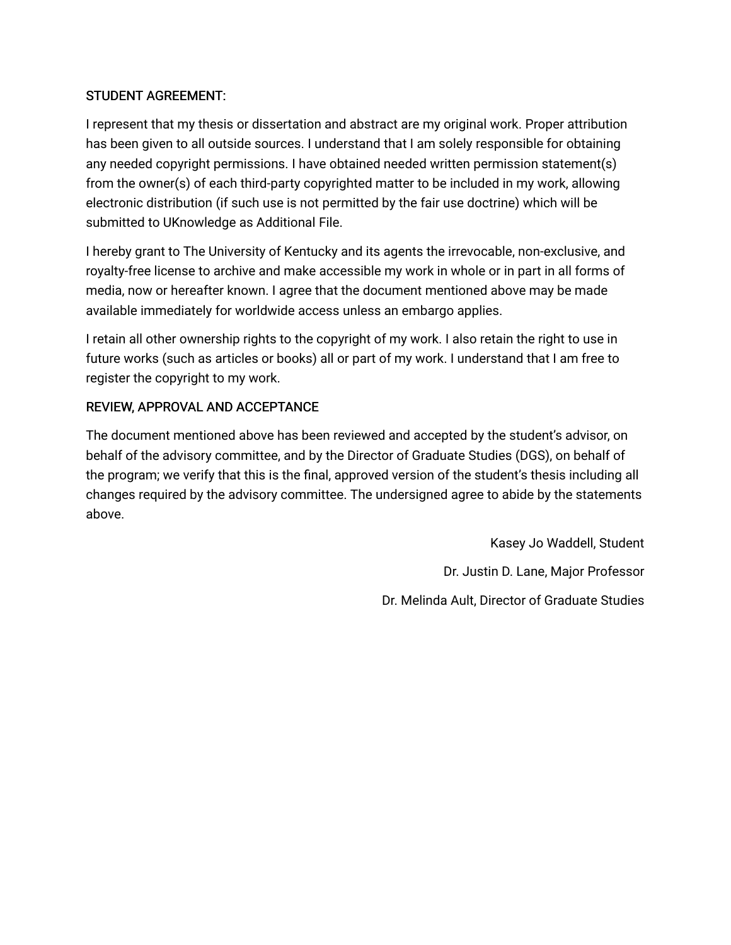# STUDENT AGREEMENT:

I represent that my thesis or dissertation and abstract are my original work. Proper attribution has been given to all outside sources. I understand that I am solely responsible for obtaining any needed copyright permissions. I have obtained needed written permission statement(s) from the owner(s) of each third-party copyrighted matter to be included in my work, allowing electronic distribution (if such use is not permitted by the fair use doctrine) which will be submitted to UKnowledge as Additional File.

I hereby grant to The University of Kentucky and its agents the irrevocable, non-exclusive, and royalty-free license to archive and make accessible my work in whole or in part in all forms of media, now or hereafter known. I agree that the document mentioned above may be made available immediately for worldwide access unless an embargo applies.

I retain all other ownership rights to the copyright of my work. I also retain the right to use in future works (such as articles or books) all or part of my work. I understand that I am free to register the copyright to my work.

# REVIEW, APPROVAL AND ACCEPTANCE

The document mentioned above has been reviewed and accepted by the student's advisor, on behalf of the advisory committee, and by the Director of Graduate Studies (DGS), on behalf of the program; we verify that this is the final, approved version of the student's thesis including all changes required by the advisory committee. The undersigned agree to abide by the statements above.

> Kasey Jo Waddell, Student Dr. Justin D. Lane, Major Professor Dr. Melinda Ault, Director of Graduate Studies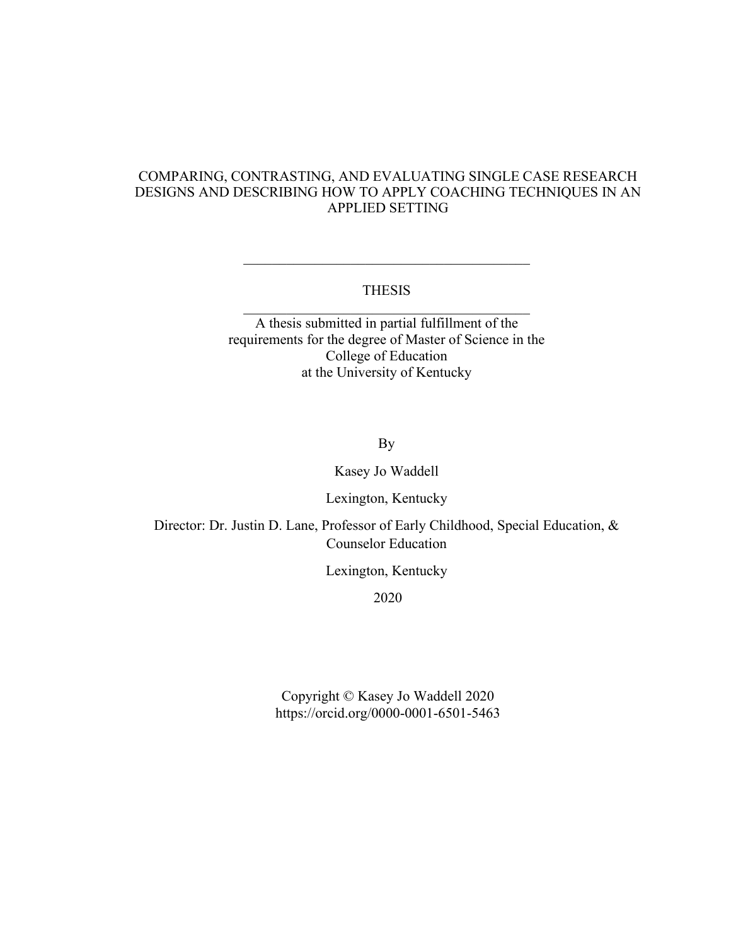# COMPARING, CONTRASTING, AND EVALUATING SINGLE CASE RESEARCH DESIGNS AND DESCRIBING HOW TO APPLY COACHING TECHNIQUES IN AN APPLIED SETTING

# THESIS \_\_\_\_\_\_\_\_\_\_\_\_\_\_\_\_\_\_\_\_\_\_\_\_\_\_\_\_\_\_\_\_\_\_\_\_\_\_\_\_

A thesis submitted in partial fulfillment of the requirements for the degree of Master of Science in the College of Education at the University of Kentucky

By

Kasey Jo Waddell

Lexington, Kentucky

Director: Dr. Justin D. Lane, Professor of Early Childhood, Special Education, & Counselor Education

Lexington, Kentucky

2020

Copyright © Kasey Jo Waddell 2020 https://orcid.org/0000-0001-6501-5463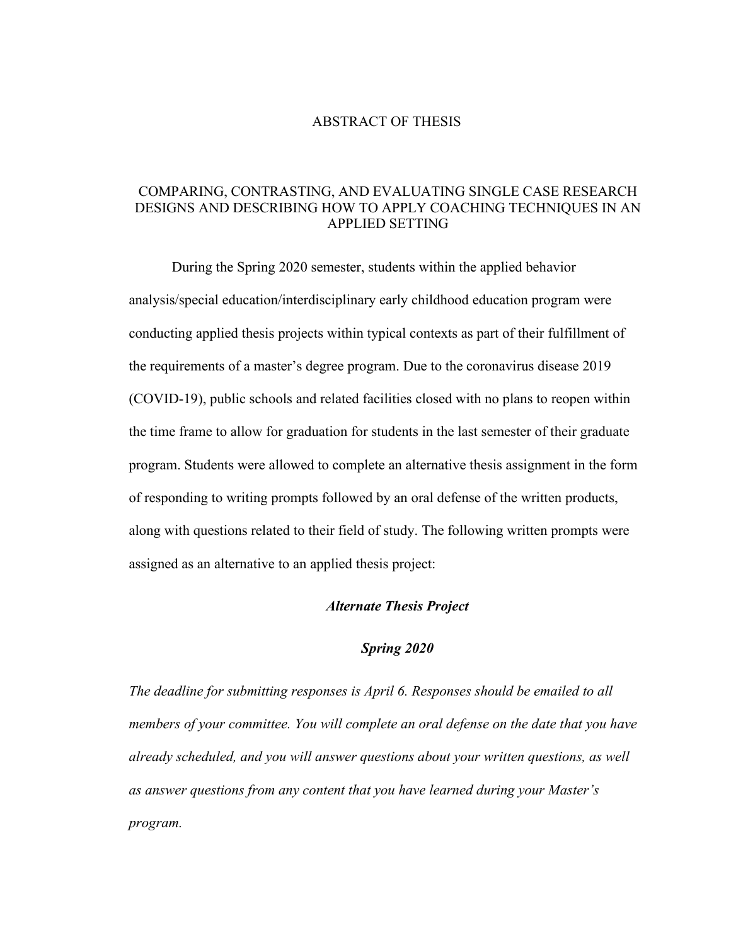#### ABSTRACT OF THESIS

# COMPARING, CONTRASTING, AND EVALUATING SINGLE CASE RESEARCH DESIGNS AND DESCRIBING HOW TO APPLY COACHING TECHNIQUES IN AN APPLIED SETTING

During the Spring 2020 semester, students within the applied behavior analysis/special education/interdisciplinary early childhood education program were conducting applied thesis projects within typical contexts as part of their fulfillment of the requirements of a master's degree program. Due to the coronavirus disease 2019 (COVID-19), public schools and related facilities closed with no plans to reopen within the time frame to allow for graduation for students in the last semester of their graduate program. Students were allowed to complete an alternative thesis assignment in the form of responding to writing prompts followed by an oral defense of the written products, along with questions related to their field of study. The following written prompts were assigned as an alternative to an applied thesis project:

## *Alternate Thesis Project*

## *Spring 2020*

*The deadline for submitting responses is April 6. Responses should be emailed to all members of your committee. You will complete an oral defense on the date that you have already scheduled, and you will answer questions about your written questions, as well as answer questions from any content that you have learned during your Master's program.*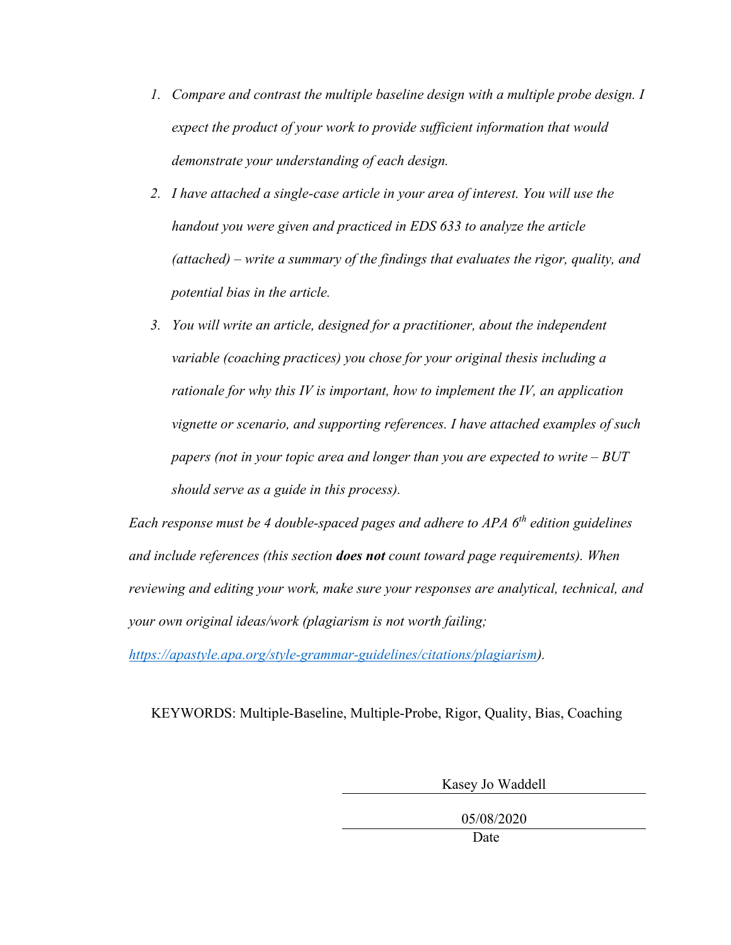- *1. Compare and contrast the multiple baseline design with a multiple probe design. I expect the product of your work to provide sufficient information that would demonstrate your understanding of each design.*
- *2. I have attached a single-case article in your area of interest. You will use the handout you were given and practiced in EDS 633 to analyze the article (attached) – write a summary of the findings that evaluates the rigor, quality, and potential bias in the article.*
- *3. You will write an article, designed for a practitioner, about the independent variable (coaching practices) you chose for your original thesis including a rationale for why this IV is important, how to implement the IV, an application vignette or scenario, and supporting references. I have attached examples of such papers (not in your topic area and longer than you are expected to write – BUT should serve as a guide in this process).*

*Each response must be 4 double-spaced pages and adhere to APA 6th edition guidelines and include references (this section does not count toward page requirements). When reviewing and editing your work, make sure your responses are analytical, technical, and your own original ideas/work (plagiarism is not worth failing;* 

*[https://apastyle.apa.org/style-grammar-guidelines/citations/plagiarism\)](https://apastyle.apa.org/style-grammar-guidelines/citations/plagiarism).*

KEYWORDS: Multiple-Baseline, Multiple-Probe, Rigor, Quality, Bias, Coaching

Kasey Jo Waddell

05/08/2020

Date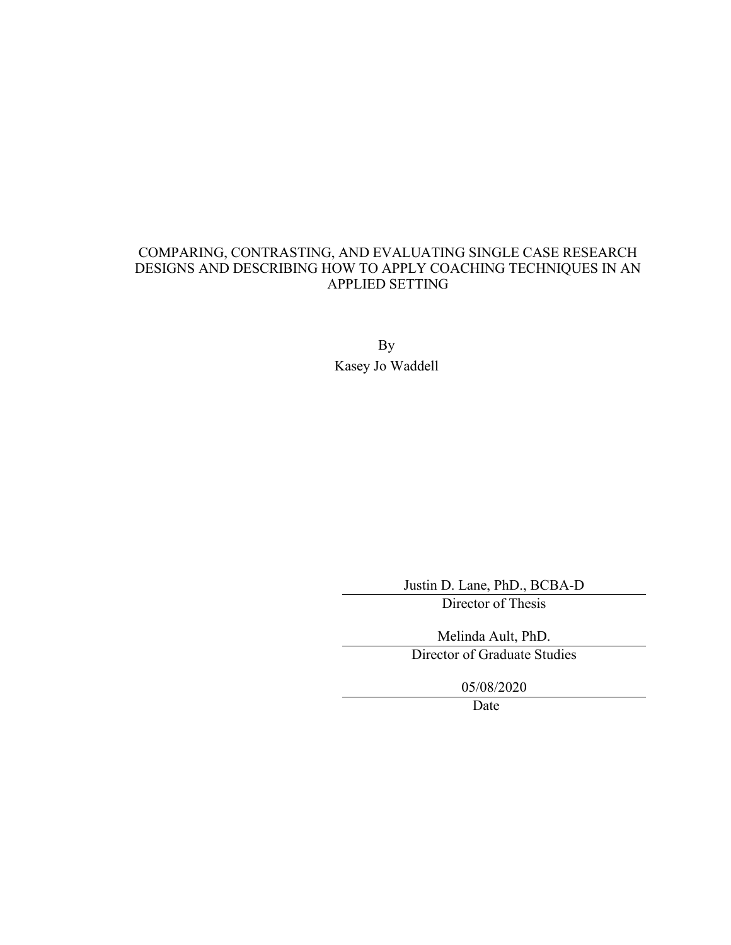# COMPARING, CONTRASTING, AND EVALUATING SINGLE CASE RESEARCH DESIGNS AND DESCRIBING HOW TO APPLY COACHING TECHNIQUES IN AN APPLIED SETTING

By Kasey Jo Waddell

Justin D. Lane, PhD., BCBA-D

Director of Thesis

Melinda Ault, PhD.

Director of Graduate Studies

05/08/2020

Date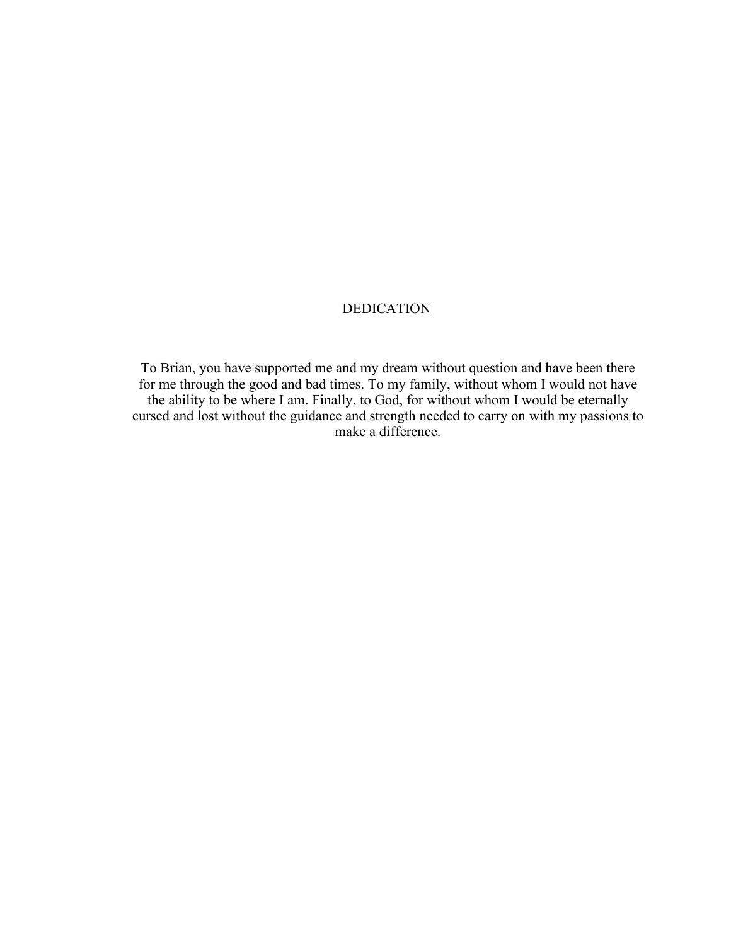# DEDICATION

To Brian, you have supported me and my dream without question and have been there for me through the good and bad times. To my family, without whom I would not have the ability to be where I am. Finally, to God, for without whom I would be eternally cursed and lost without the guidance and strength needed to carry on with my passions to make a difference.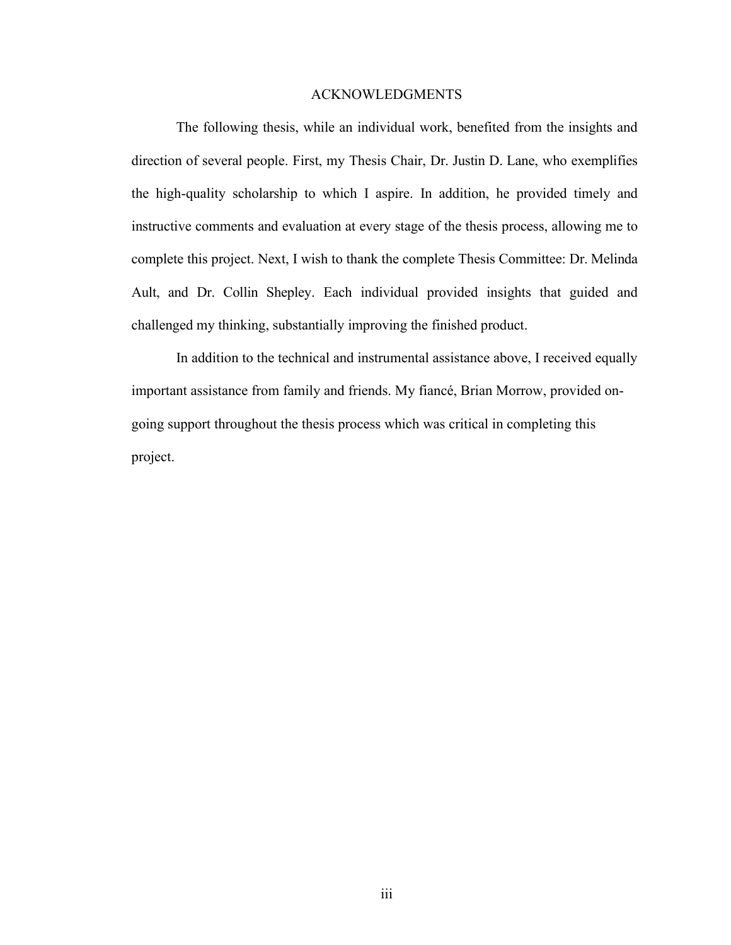#### ACKNOWLEDGMENTS

<span id="page-7-0"></span>The following thesis, while an individual work, benefited from the insights and direction of several people. First, my Thesis Chair, Dr. Justin D. Lane, who exemplifies the high-quality scholarship to which I aspire. In addition, he provided timely and instructive comments and evaluation at every stage of the thesis process, allowing me to complete this project. Next, I wish to thank the complete Thesis Committee: Dr. Melinda Ault, and Dr. Collin Shepley. Each individual provided insights that guided and challenged my thinking, substantially improving the finished product.

In addition to the technical and instrumental assistance above, I received equally important assistance from family and friends. My fiancé, Brian Morrow, provided ongoing support throughout the thesis process which was critical in completing this project.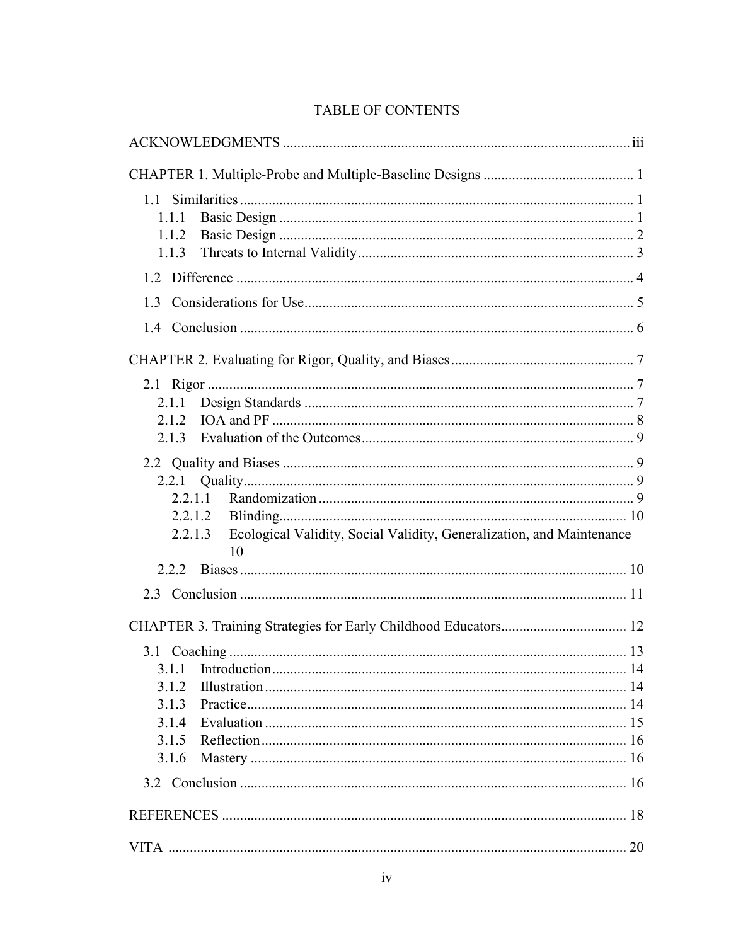|  | <b>TABLE OF CONTENTS</b> |
|--|--------------------------|
|--|--------------------------|

| 1.1.1<br>1.1.2<br>1.1.3                                                                                      |
|--------------------------------------------------------------------------------------------------------------|
|                                                                                                              |
| 1.3                                                                                                          |
|                                                                                                              |
|                                                                                                              |
| 2.1.1<br>2.1.2<br>2.1.3                                                                                      |
| 2.2.1.1<br>2.2.1.2<br>Ecological Validity, Social Validity, Generalization, and Maintenance<br>2.2.1.3<br>10 |
|                                                                                                              |
|                                                                                                              |
|                                                                                                              |
| 3.1.2<br>3.1.3<br>3.1.4<br>3.1.5<br>3.1.6                                                                    |
|                                                                                                              |
|                                                                                                              |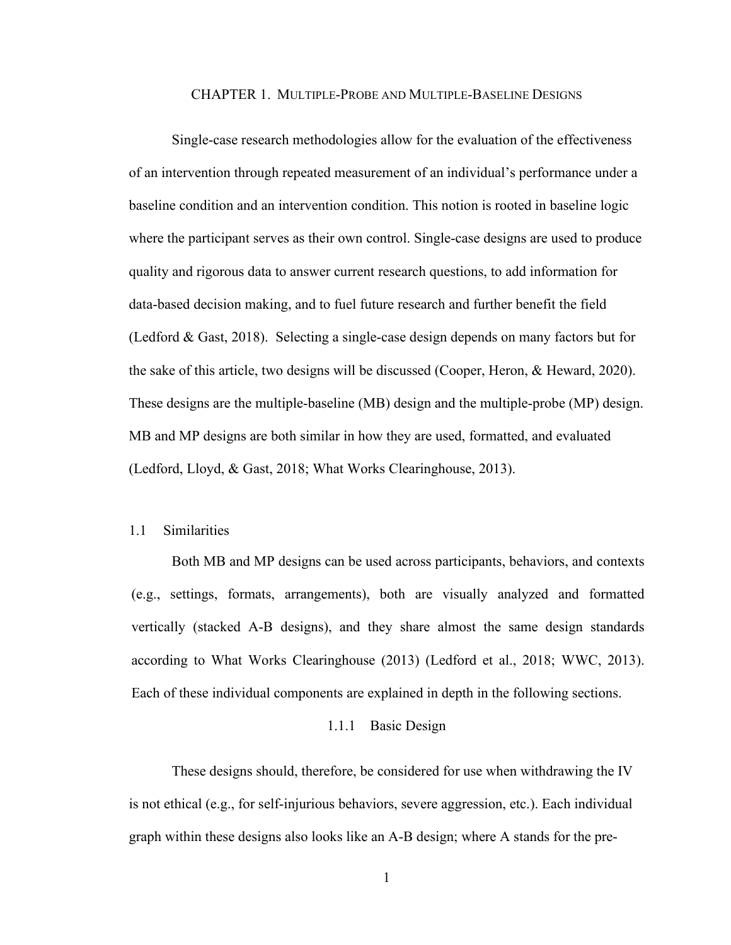#### CHAPTER 1. MULTIPLE-PROBE AND MULTIPLE-BASELINE DESIGNS

<span id="page-9-0"></span>Single-case research methodologies allow for the evaluation of the effectiveness of an intervention through repeated measurement of an individual's performance under a baseline condition and an intervention condition. This notion is rooted in baseline logic where the participant serves as their own control. Single-case designs are used to produce quality and rigorous data to answer current research questions, to add information for data-based decision making, and to fuel future research and further benefit the field (Ledford & Gast, 2018). Selecting a single-case design depends on many factors but for the sake of this article, two designs will be discussed (Cooper, Heron, & Heward, 2020). These designs are the multiple-baseline (MB) design and the multiple-probe (MP) design. MB and MP designs are both similar in how they are used, formatted, and evaluated (Ledford, Lloyd, & Gast, 2018; What Works Clearinghouse, 2013).

## <span id="page-9-1"></span>1.1 Similarities

Both MB and MP designs can be used across participants, behaviors, and contexts (e.g., settings, formats, arrangements), both are visually analyzed and formatted vertically (stacked A-B designs), and they share almost the same design standards according to What Works Clearinghouse (2013) (Ledford et al., 2018; WWC, 2013). Each of these individual components are explained in depth in the following sections.

#### 1.1.1 Basic Design

<span id="page-9-2"></span>These designs should, therefore, be considered for use when withdrawing the IV is not ethical (e.g., for self-injurious behaviors, severe aggression, etc.). Each individual graph within these designs also looks like an A-B design; where A stands for the pre-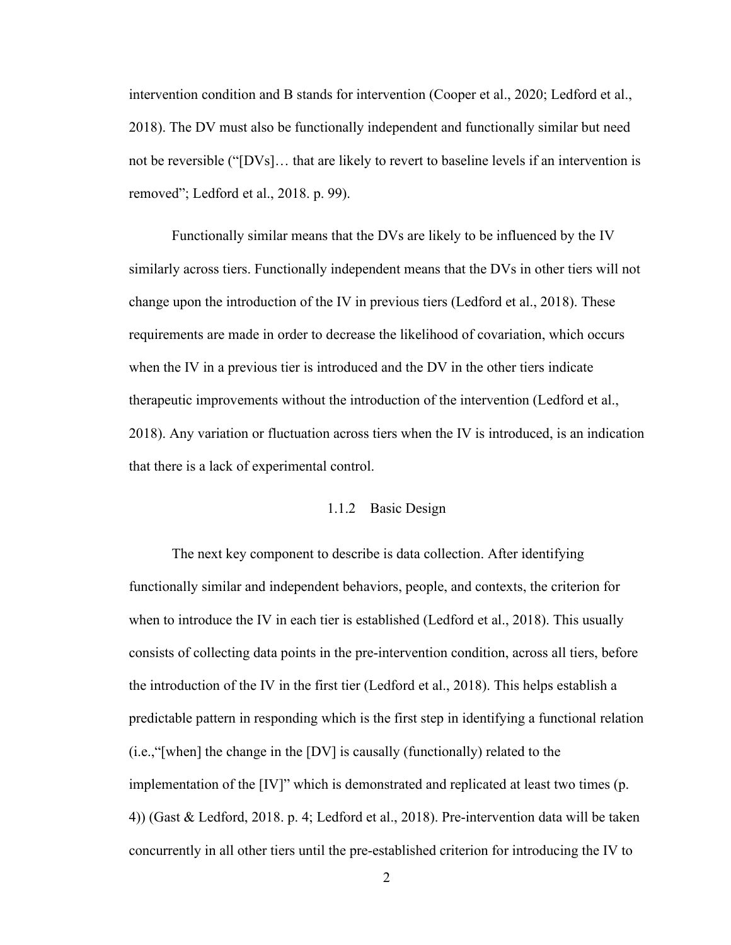intervention condition and B stands for intervention (Cooper et al., 2020; Ledford et al., 2018). The DV must also be functionally independent and functionally similar but need not be reversible ("[DVs]… that are likely to revert to baseline levels if an intervention is removed"; Ledford et al., 2018. p. 99).

Functionally similar means that the DVs are likely to be influenced by the IV similarly across tiers. Functionally independent means that the DVs in other tiers will not change upon the introduction of the IV in previous tiers (Ledford et al., 2018). These requirements are made in order to decrease the likelihood of covariation, which occurs when the IV in a previous tier is introduced and the DV in the other tiers indicate therapeutic improvements without the introduction of the intervention (Ledford et al., 2018). Any variation or fluctuation across tiers when the IV is introduced, is an indication that there is a lack of experimental control.

#### 1.1.2 Basic Design

<span id="page-10-0"></span>The next key component to describe is data collection. After identifying functionally similar and independent behaviors, people, and contexts, the criterion for when to introduce the IV in each tier is established (Ledford et al., 2018). This usually consists of collecting data points in the pre-intervention condition, across all tiers, before the introduction of the IV in the first tier (Ledford et al., 2018). This helps establish a predictable pattern in responding which is the first step in identifying a functional relation (i.e.,"[when] the change in the [DV] is causally (functionally) related to the implementation of the [IV]" which is demonstrated and replicated at least two times (p. 4)) (Gast & Ledford, 2018. p. 4; Ledford et al., 2018). Pre-intervention data will be taken concurrently in all other tiers until the pre-established criterion for introducing the IV to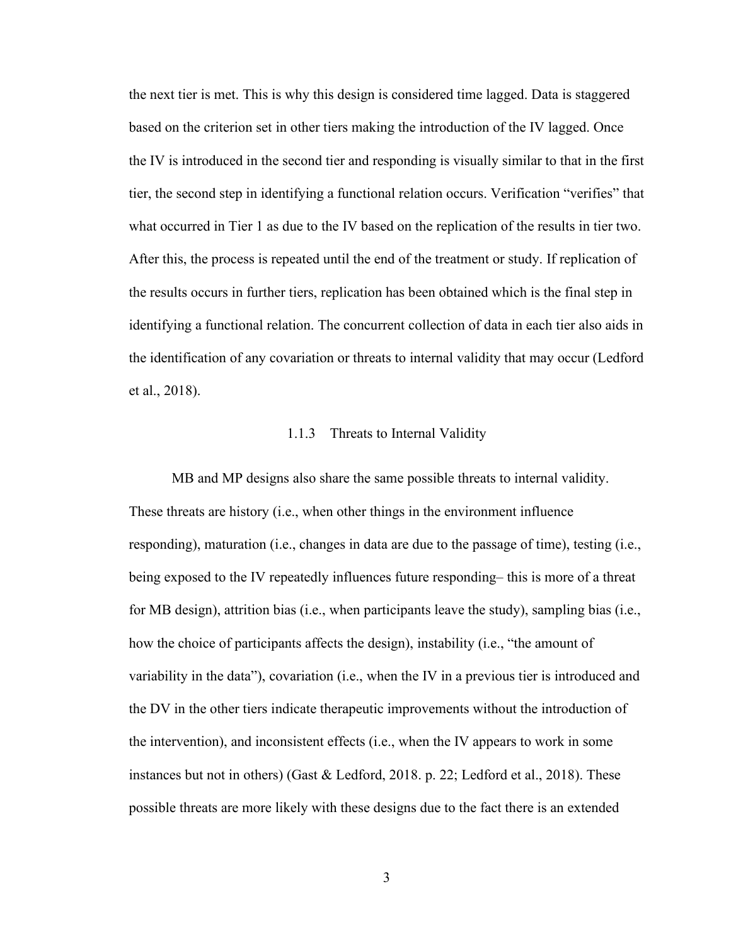the next tier is met. This is why this design is considered time lagged. Data is staggered based on the criterion set in other tiers making the introduction of the IV lagged. Once the IV is introduced in the second tier and responding is visually similar to that in the first tier, the second step in identifying a functional relation occurs. Verification "verifies" that what occurred in Tier 1 as due to the IV based on the replication of the results in tier two. After this, the process is repeated until the end of the treatment or study. If replication of the results occurs in further tiers, replication has been obtained which is the final step in identifying a functional relation. The concurrent collection of data in each tier also aids in the identification of any covariation or threats to internal validity that may occur (Ledford et al., 2018).

## 1.1.3 Threats to Internal Validity

<span id="page-11-0"></span>MB and MP designs also share the same possible threats to internal validity. These threats are history (i.e., when other things in the environment influence responding), maturation (i.e., changes in data are due to the passage of time), testing (i.e., being exposed to the IV repeatedly influences future responding– this is more of a threat for MB design), attrition bias (i.e., when participants leave the study), sampling bias (i.e., how the choice of participants affects the design), instability (i.e., "the amount of variability in the data"), covariation (i.e., when the IV in a previous tier is introduced and the DV in the other tiers indicate therapeutic improvements without the introduction of the intervention), and inconsistent effects (i.e., when the IV appears to work in some instances but not in others) (Gast & Ledford, 2018. p. 22; Ledford et al., 2018). These possible threats are more likely with these designs due to the fact there is an extended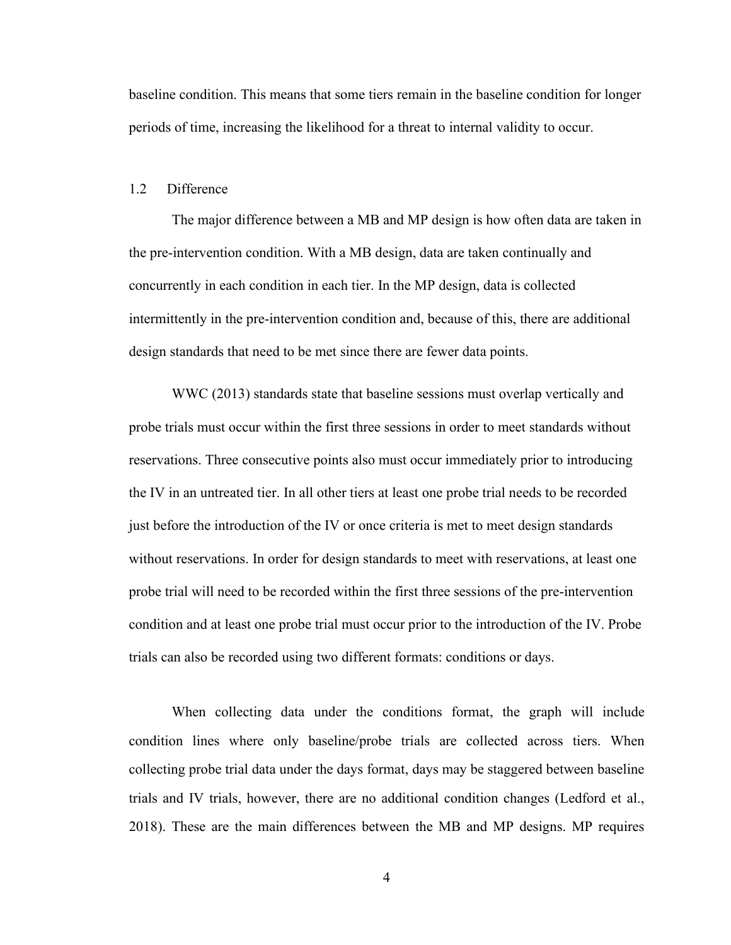baseline condition. This means that some tiers remain in the baseline condition for longer periods of time, increasing the likelihood for a threat to internal validity to occur.

## <span id="page-12-0"></span>1.2 Difference

The major difference between a MB and MP design is how often data are taken in the pre-intervention condition. With a MB design, data are taken continually and concurrently in each condition in each tier. In the MP design, data is collected intermittently in the pre-intervention condition and, because of this, there are additional design standards that need to be met since there are fewer data points.

WWC (2013) standards state that baseline sessions must overlap vertically and probe trials must occur within the first three sessions in order to meet standards without reservations. Three consecutive points also must occur immediately prior to introducing the IV in an untreated tier. In all other tiers at least one probe trial needs to be recorded just before the introduction of the IV or once criteria is met to meet design standards without reservations. In order for design standards to meet with reservations, at least one probe trial will need to be recorded within the first three sessions of the pre-intervention condition and at least one probe trial must occur prior to the introduction of the IV. Probe trials can also be recorded using two different formats: conditions or days.

When collecting data under the conditions format, the graph will include condition lines where only baseline/probe trials are collected across tiers. When collecting probe trial data under the days format, days may be staggered between baseline trials and IV trials, however, there are no additional condition changes (Ledford et al., 2018). These are the main differences between the MB and MP designs. MP requires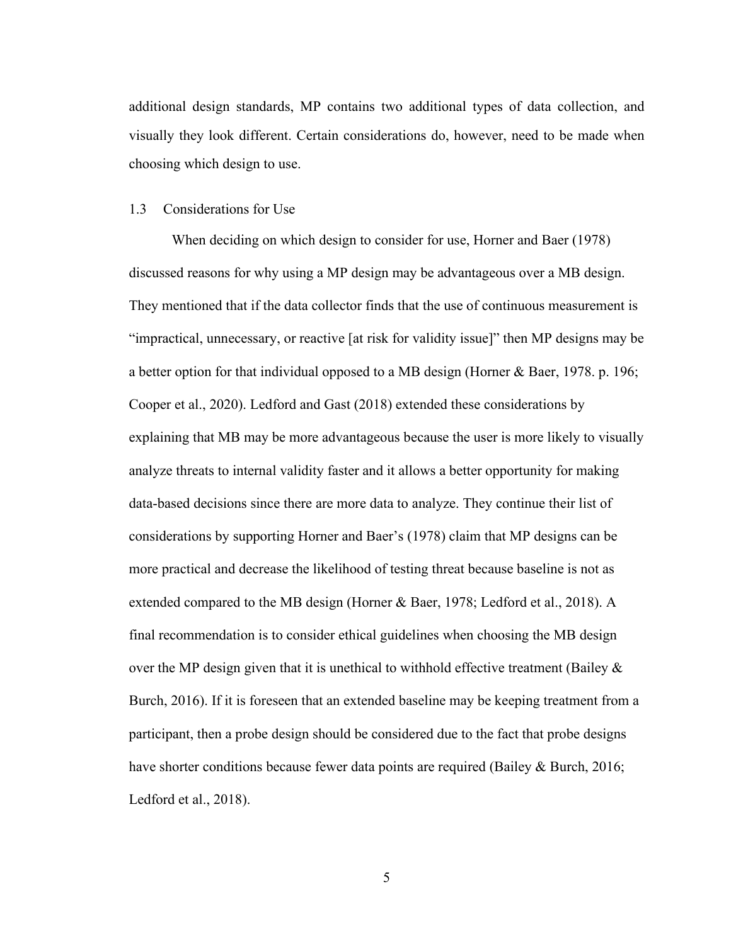additional design standards, MP contains two additional types of data collection, and visually they look different. Certain considerations do, however, need to be made when choosing which design to use.

#### <span id="page-13-0"></span>1.3 Considerations for Use

When deciding on which design to consider for use, Horner and Baer (1978) discussed reasons for why using a MP design may be advantageous over a MB design. They mentioned that if the data collector finds that the use of continuous measurement is "impractical, unnecessary, or reactive [at risk for validity issue]" then MP designs may be a better option for that individual opposed to a MB design (Horner & Baer, 1978. p. 196; Cooper et al., 2020). Ledford and Gast (2018) extended these considerations by explaining that MB may be more advantageous because the user is more likely to visually analyze threats to internal validity faster and it allows a better opportunity for making data-based decisions since there are more data to analyze. They continue their list of considerations by supporting Horner and Baer's (1978) claim that MP designs can be more practical and decrease the likelihood of testing threat because baseline is not as extended compared to the MB design (Horner & Baer, 1978; Ledford et al., 2018). A final recommendation is to consider ethical guidelines when choosing the MB design over the MP design given that it is unethical to withhold effective treatment (Bailey & Burch, 2016). If it is foreseen that an extended baseline may be keeping treatment from a participant, then a probe design should be considered due to the fact that probe designs have shorter conditions because fewer data points are required (Bailey & Burch, 2016; Ledford et al., 2018).

5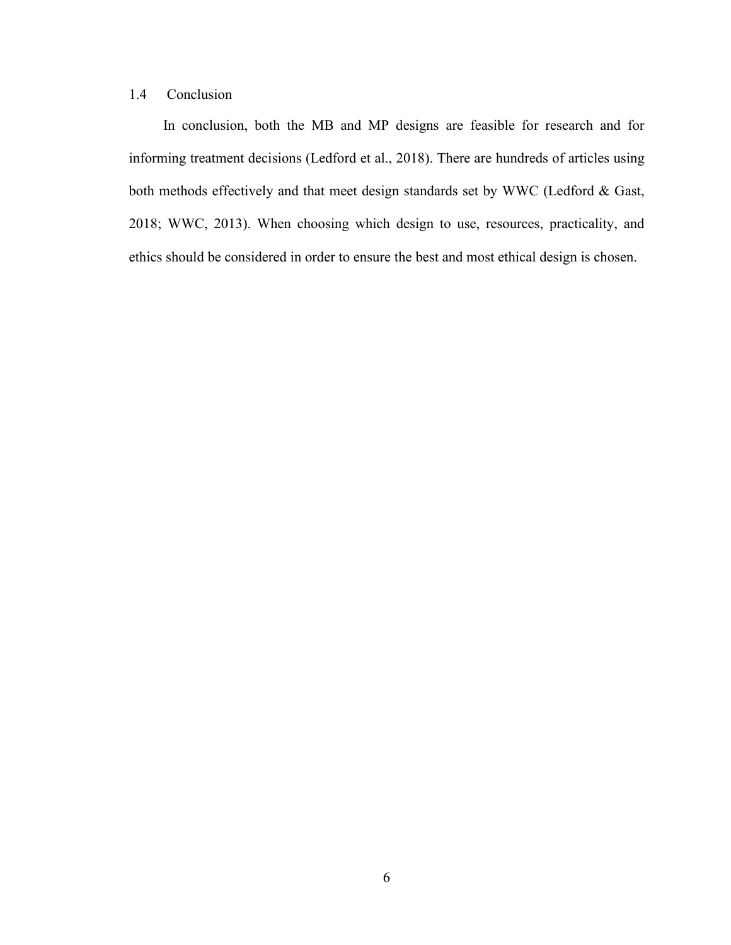# <span id="page-14-0"></span>1.4 Conclusion

In conclusion, both the MB and MP designs are feasible for research and for informing treatment decisions (Ledford et al., 2018). There are hundreds of articles using both methods effectively and that meet design standards set by WWC (Ledford & Gast, 2018; WWC, 2013). When choosing which design to use, resources, practicality, and ethics should be considered in order to ensure the best and most ethical design is chosen.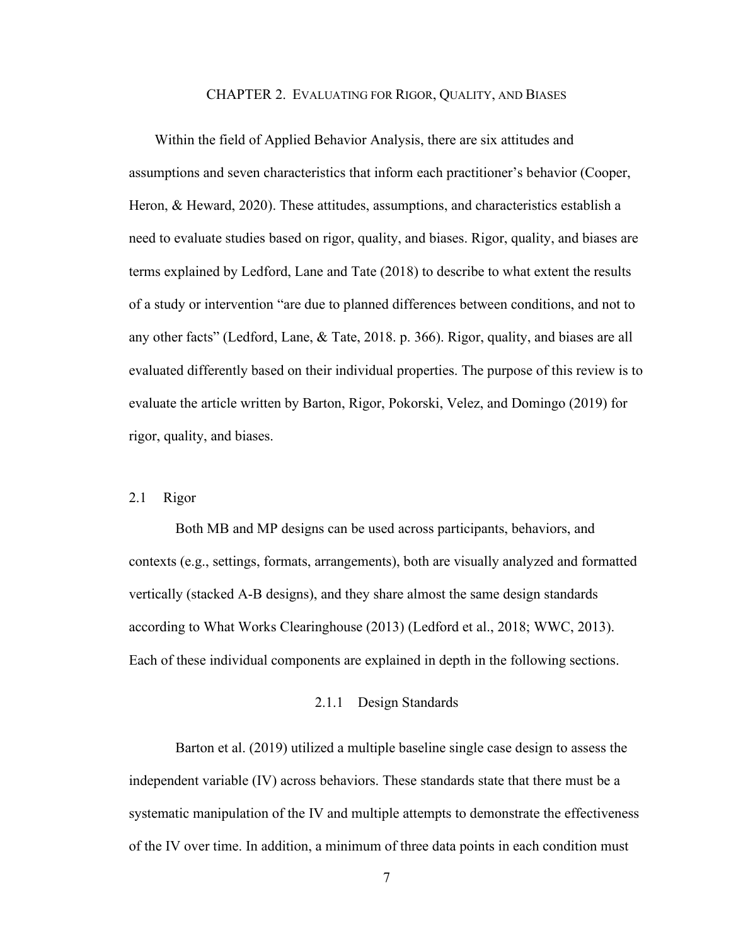#### CHAPTER 2. EVALUATING FOR RIGOR, QUALITY, AND BIASES

<span id="page-15-0"></span>Within the field of Applied Behavior Analysis, there are six attitudes and assumptions and seven characteristics that inform each practitioner's behavior (Cooper, Heron, & Heward, 2020). These attitudes, assumptions, and characteristics establish a need to evaluate studies based on rigor, quality, and biases. Rigor, quality, and biases are terms explained by Ledford, Lane and Tate (2018) to describe to what extent the results of a study or intervention "are due to planned differences between conditions, and not to any other facts" (Ledford, Lane, & Tate, 2018. p. 366). Rigor, quality, and biases are all evaluated differently based on their individual properties. The purpose of this review is to evaluate the article written by Barton, Rigor, Pokorski, Velez, and Domingo (2019) for rigor, quality, and biases.

## <span id="page-15-1"></span>2.1 Rigor

Both MB and MP designs can be used across participants, behaviors, and contexts (e.g., settings, formats, arrangements), both are visually analyzed and formatted vertically (stacked A-B designs), and they share almost the same design standards according to What Works Clearinghouse (2013) (Ledford et al., 2018; WWC, 2013). Each of these individual components are explained in depth in the following sections.

## 2.1.1 Design Standards

<span id="page-15-2"></span>Barton et al. (2019) utilized a multiple baseline single case design to assess the independent variable (IV) across behaviors. These standards state that there must be a systematic manipulation of the IV and multiple attempts to demonstrate the effectiveness of the IV over time. In addition, a minimum of three data points in each condition must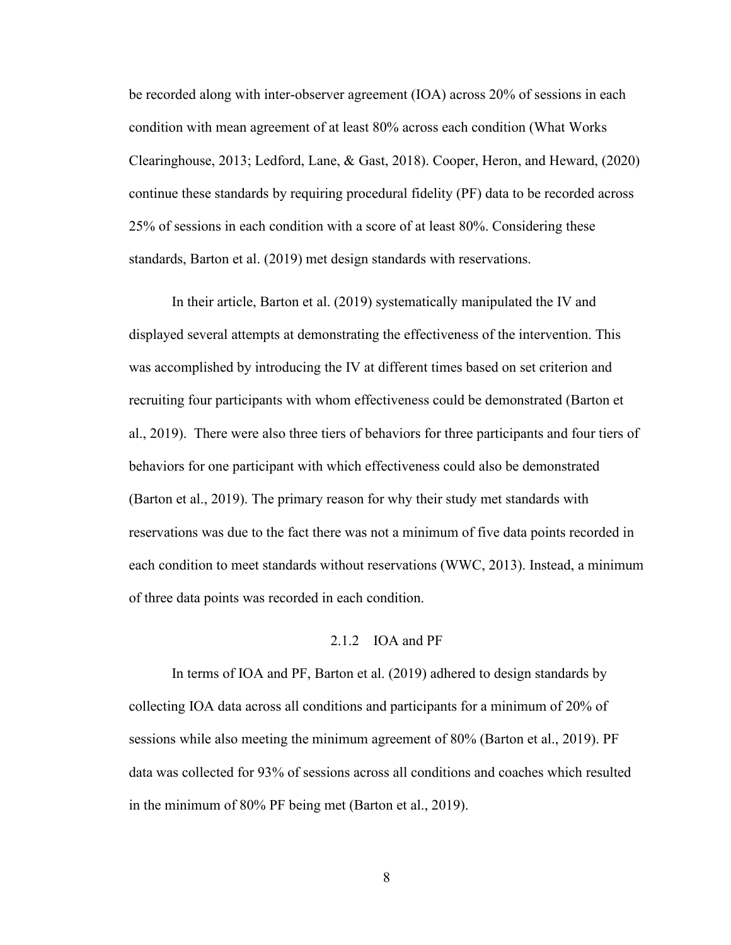be recorded along with inter-observer agreement (IOA) across 20% of sessions in each condition with mean agreement of at least 80% across each condition (What Works Clearinghouse, 2013; Ledford, Lane, & Gast, 2018). Cooper, Heron, and Heward, (2020) continue these standards by requiring procedural fidelity (PF) data to be recorded across 25% of sessions in each condition with a score of at least 80%. Considering these standards, Barton et al. (2019) met design standards with reservations.

In their article, Barton et al. (2019) systematically manipulated the IV and displayed several attempts at demonstrating the effectiveness of the intervention. This was accomplished by introducing the IV at different times based on set criterion and recruiting four participants with whom effectiveness could be demonstrated (Barton et al., 2019). There were also three tiers of behaviors for three participants and four tiers of behaviors for one participant with which effectiveness could also be demonstrated (Barton et al., 2019). The primary reason for why their study met standards with reservations was due to the fact there was not a minimum of five data points recorded in each condition to meet standards without reservations (WWC, 2013). Instead, a minimum of three data points was recorded in each condition.

#### 2.1.2 IOA and PF

<span id="page-16-0"></span>In terms of IOA and PF, Barton et al. (2019) adhered to design standards by collecting IOA data across all conditions and participants for a minimum of 20% of sessions while also meeting the minimum agreement of 80% (Barton et al., 2019). PF data was collected for 93% of sessions across all conditions and coaches which resulted in the minimum of 80% PF being met (Barton et al., 2019).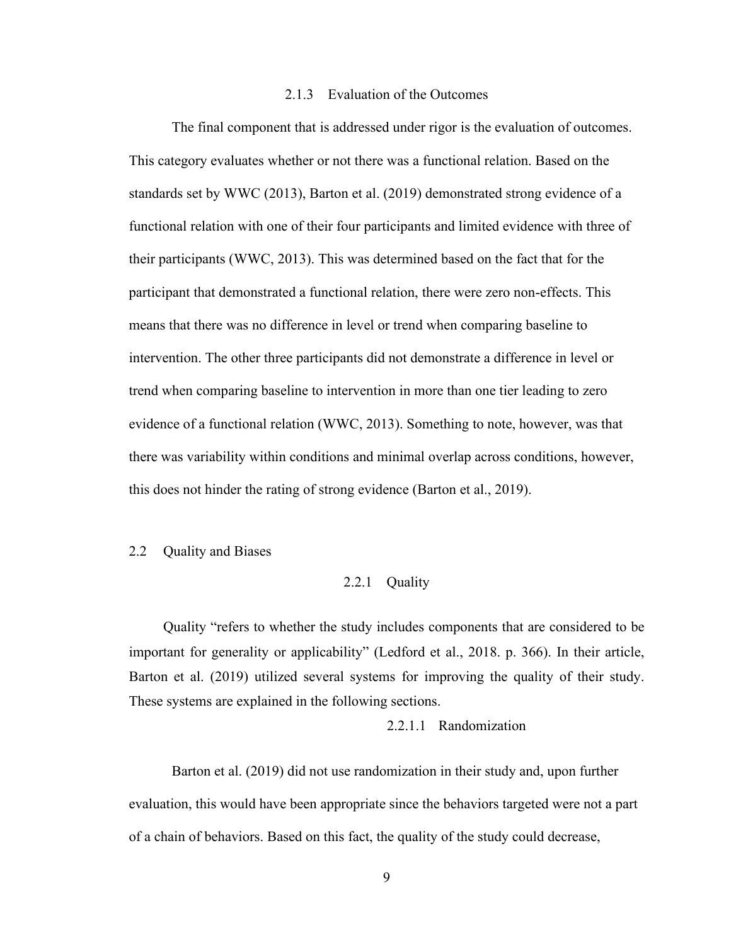## 2.1.3 Evaluation of the Outcomes

<span id="page-17-0"></span>The final component that is addressed under rigor is the evaluation of outcomes. This category evaluates whether or not there was a functional relation. Based on the standards set by WWC (2013), Barton et al. (2019) demonstrated strong evidence of a functional relation with one of their four participants and limited evidence with three of their participants (WWC, 2013). This was determined based on the fact that for the participant that demonstrated a functional relation, there were zero non-effects. This means that there was no difference in level or trend when comparing baseline to intervention. The other three participants did not demonstrate a difference in level or trend when comparing baseline to intervention in more than one tier leading to zero evidence of a functional relation (WWC, 2013). Something to note, however, was that there was variability within conditions and minimal overlap across conditions, however, this does not hinder the rating of strong evidence (Barton et al., 2019).

## <span id="page-17-2"></span><span id="page-17-1"></span>2.2 Quality and Biases

#### 2.2.1 Quality

Quality "refers to whether the study includes components that are considered to be important for generality or applicability" (Ledford et al., 2018. p. 366). In their article, Barton et al. (2019) utilized several systems for improving the quality of their study. These systems are explained in the following sections.

## 2.2.1.1 Randomization

<span id="page-17-3"></span>Barton et al. (2019) did not use randomization in their study and, upon further evaluation, this would have been appropriate since the behaviors targeted were not a part of a chain of behaviors. Based on this fact, the quality of the study could decrease,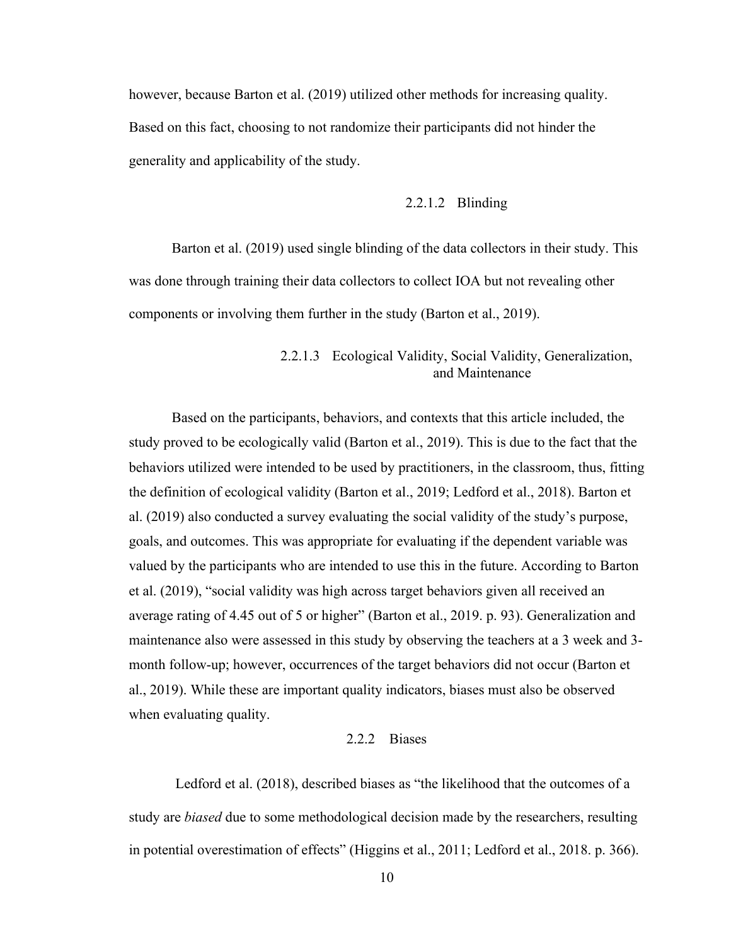however, because Barton et al. (2019) utilized other methods for increasing quality. Based on this fact, choosing to not randomize their participants did not hinder the generality and applicability of the study.

## 2.2.1.2 Blinding

<span id="page-18-0"></span>Barton et al. (2019) used single blinding of the data collectors in their study. This was done through training their data collectors to collect IOA but not revealing other components or involving them further in the study (Barton et al., 2019).

# 2.2.1.3 Ecological Validity, Social Validity, Generalization, and Maintenance

<span id="page-18-1"></span>Based on the participants, behaviors, and contexts that this article included, the study proved to be ecologically valid (Barton et al., 2019). This is due to the fact that the behaviors utilized were intended to be used by practitioners, in the classroom, thus, fitting the definition of ecological validity (Barton et al., 2019; Ledford et al., 2018). Barton et al. (2019) also conducted a survey evaluating the social validity of the study's purpose, goals, and outcomes. This was appropriate for evaluating if the dependent variable was valued by the participants who are intended to use this in the future. According to Barton et al. (2019), "social validity was high across target behaviors given all received an average rating of 4.45 out of 5 or higher" (Barton et al., 2019. p. 93). Generalization and maintenance also were assessed in this study by observing the teachers at a 3 week and 3 month follow-up; however, occurrences of the target behaviors did not occur (Barton et al., 2019). While these are important quality indicators, biases must also be observed when evaluating quality.

#### 2.2.2 Biases

<span id="page-18-2"></span>Ledford et al. (2018), described biases as "the likelihood that the outcomes of a study are *biased* due to some methodological decision made by the researchers, resulting in potential overestimation of effects" (Higgins et al., 2011; Ledford et al., 2018. p. 366).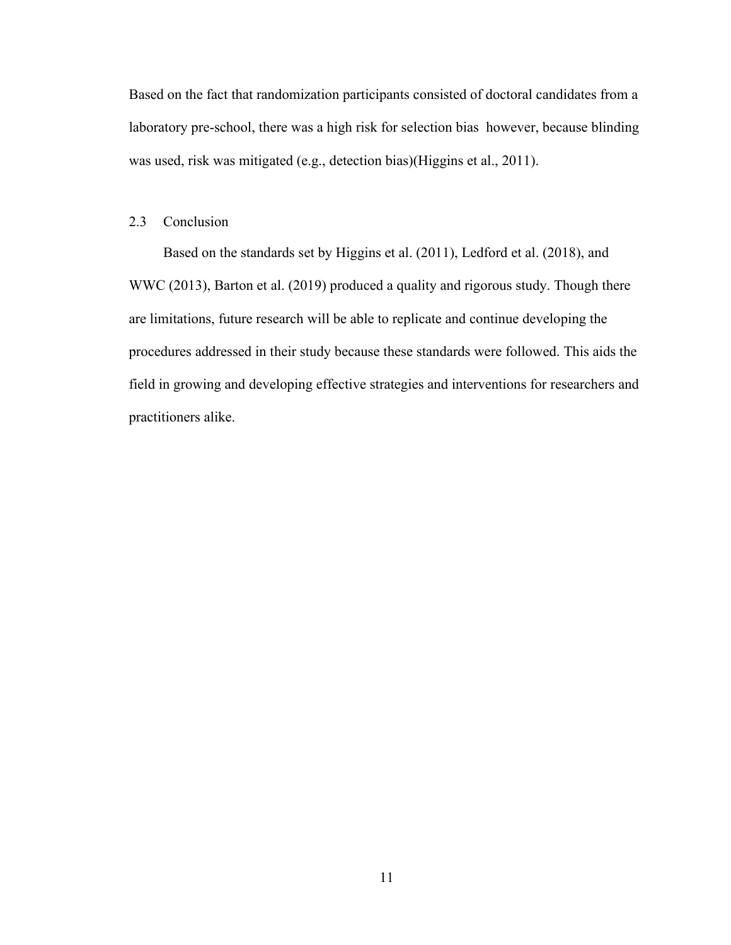Based on the fact that randomization participants consisted of doctoral candidates from a laboratory pre-school, there was a high risk for selection bias however, because blinding was used, risk was mitigated (e.g., detection bias)(Higgins et al., 2011).

## <span id="page-19-0"></span>2.3 Conclusion

Based on the standards set by Higgins et al. (2011), Ledford et al. (2018), and WWC (2013), Barton et al. (2019) produced a quality and rigorous study. Though there are limitations, future research will be able to replicate and continue developing the procedures addressed in their study because these standards were followed. This aids the field in growing and developing effective strategies and interventions for researchers and practitioners alike.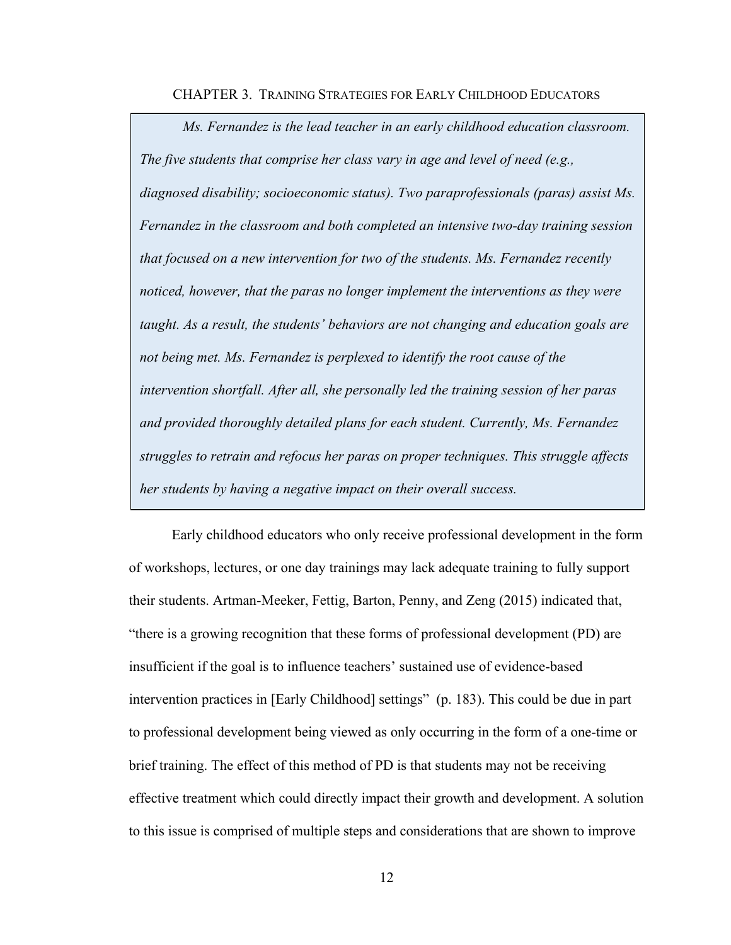CHAPTER 3. TRAINING STRATEGIES FOR EARLY CHILDHOOD EDUCATORS

<span id="page-20-0"></span>*Ms. Fernandez is the lead teacher in an early childhood education classroom. The five students that comprise her class vary in age and level of need (e.g., diagnosed disability; socioeconomic status). Two paraprofessionals (paras) assist Ms. Fernandez in the classroom and both completed an intensive two-day training session that focused on a new intervention for two of the students. Ms. Fernandez recently noticed, however, that the paras no longer implement the interventions as they were taught. As a result, the students' behaviors are not changing and education goals are not being met. Ms. Fernandez is perplexed to identify the root cause of the intervention shortfall. After all, she personally led the training session of her paras and provided thoroughly detailed plans for each student. Currently, Ms. Fernandez struggles to retrain and refocus her paras on proper techniques. This struggle affects her students by having a negative impact on their overall success.*

Early childhood educators who only receive professional development in the form of workshops, lectures, or one day trainings may lack adequate training to fully support their students. Artman-Meeker, Fettig, Barton, Penny, and Zeng (2015) indicated that, "there is a growing recognition that these forms of professional development (PD) are insufficient if the goal is to influence teachers' sustained use of evidence-based intervention practices in [Early Childhood] settings" (p. 183). This could be due in part to professional development being viewed as only occurring in the form of a one-time or brief training. The effect of this method of PD is that students may not be receiving effective treatment which could directly impact their growth and development. A solution to this issue is comprised of multiple steps and considerations that are shown to improve

12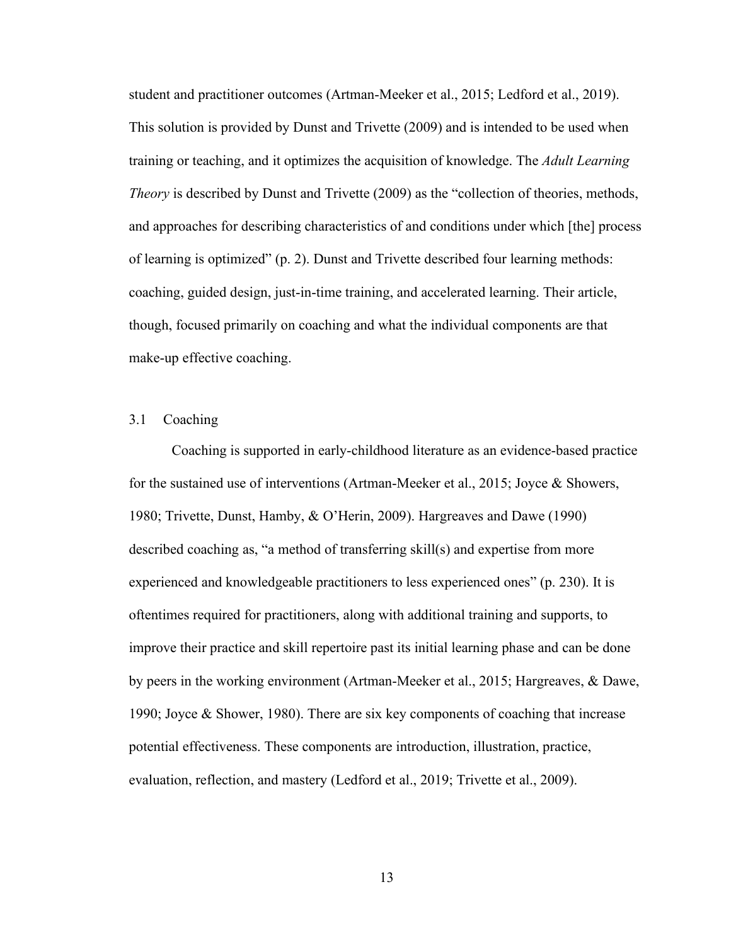student and practitioner outcomes (Artman-Meeker et al., 2015; Ledford et al., 2019). This solution is provided by Dunst and Trivette (2009) and is intended to be used when training or teaching, and it optimizes the acquisition of knowledge. The *Adult Learning Theory* is described by Dunst and Trivette (2009) as the "collection of theories, methods, and approaches for describing characteristics of and conditions under which [the] process of learning is optimized" (p. 2). Dunst and Trivette described four learning methods: coaching, guided design, just-in-time training, and accelerated learning. Their article, though, focused primarily on coaching and what the individual components are that make-up effective coaching.

# <span id="page-21-0"></span>3.1 Coaching

Coaching is supported in early-childhood literature as an evidence-based practice for the sustained use of interventions (Artman-Meeker et al., 2015; Joyce & Showers, 1980; Trivette, Dunst, Hamby, & O'Herin, 2009). Hargreaves and Dawe (1990) described coaching as, "a method of transferring skill(s) and expertise from more experienced and knowledgeable practitioners to less experienced ones" (p. 230). It is oftentimes required for practitioners, along with additional training and supports, to improve their practice and skill repertoire past its initial learning phase and can be done by peers in the working environment (Artman-Meeker et al., 2015; Hargreaves, & Dawe, 1990; Joyce & Shower, 1980). There are six key components of coaching that increase potential effectiveness. These components are introduction, illustration, practice, evaluation, reflection, and mastery (Ledford et al., 2019; Trivette et al., 2009).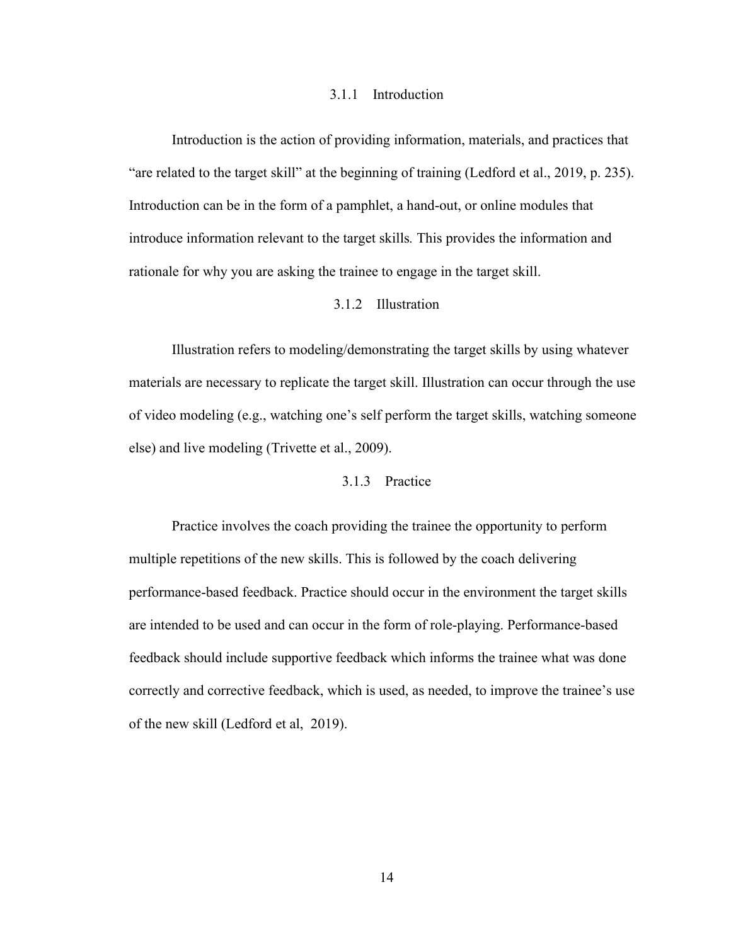#### 3.1.1 Introduction

<span id="page-22-0"></span>Introduction is the action of providing information, materials, and practices that "are related to the target skill" at the beginning of training (Ledford et al., 2019, p. 235). Introduction can be in the form of a pamphlet, a hand-out, or online modules that introduce information relevant to the target skills*.* This provides the information and rationale for why you are asking the trainee to engage in the target skill.

# 3.1.2 Illustration

<span id="page-22-1"></span>Illustration refers to modeling/demonstrating the target skills by using whatever materials are necessary to replicate the target skill. Illustration can occur through the use of video modeling (e.g., watching one's self perform the target skills, watching someone else) and live modeling (Trivette et al., 2009).

# 3.1.3 Practice

<span id="page-22-2"></span>Practice involves the coach providing the trainee the opportunity to perform multiple repetitions of the new skills. This is followed by the coach delivering performance-based feedback. Practice should occur in the environment the target skills are intended to be used and can occur in the form of role-playing. Performance-based feedback should include supportive feedback which informs the trainee what was done correctly and corrective feedback, which is used, as needed, to improve the trainee's use of the new skill (Ledford et al, 2019).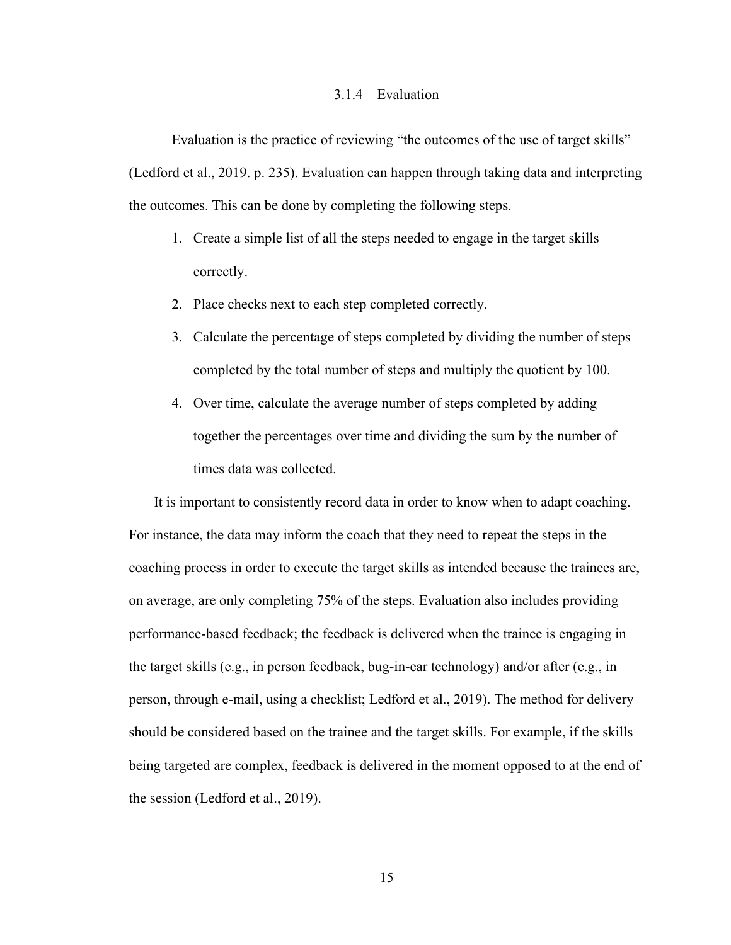#### 3.1.4 Evaluation

<span id="page-23-0"></span>Evaluation is the practice of reviewing "the outcomes of the use of target skills" (Ledford et al., 2019. p. 235). Evaluation can happen through taking data and interpreting the outcomes. This can be done by completing the following steps.

- 1. Create a simple list of all the steps needed to engage in the target skills correctly.
- 2. Place checks next to each step completed correctly.
- 3. Calculate the percentage of steps completed by dividing the number of steps completed by the total number of steps and multiply the quotient by 100.
- 4. Over time, calculate the average number of steps completed by adding together the percentages over time and dividing the sum by the number of times data was collected.

It is important to consistently record data in order to know when to adapt coaching. For instance, the data may inform the coach that they need to repeat the steps in the coaching process in order to execute the target skills as intended because the trainees are, on average, are only completing 75% of the steps. Evaluation also includes providing performance-based feedback; the feedback is delivered when the trainee is engaging in the target skills (e.g., in person feedback, bug-in-ear technology) and/or after (e.g., in person, through e-mail, using a checklist; Ledford et al., 2019). The method for delivery should be considered based on the trainee and the target skills. For example, if the skills being targeted are complex, feedback is delivered in the moment opposed to at the end of the session (Ledford et al., 2019).

15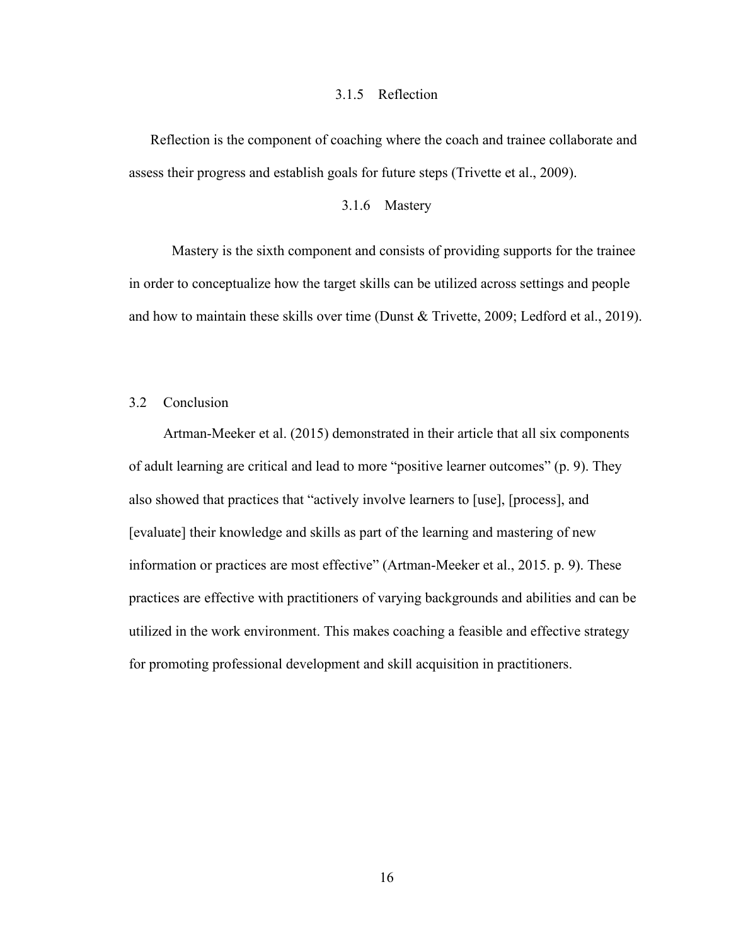#### 3.1.5 Reflection

<span id="page-24-0"></span>Reflection is the component of coaching where the coach and trainee collaborate and assess their progress and establish goals for future steps (Trivette et al., 2009).

## 3.1.6 Mastery

<span id="page-24-1"></span>Mastery is the sixth component and consists of providing supports for the trainee in order to conceptualize how the target skills can be utilized across settings and people and how to maintain these skills over time (Dunst & Trivette, 2009; Ledford et al., 2019).

# <span id="page-24-2"></span>3.2 Conclusion

Artman-Meeker et al. (2015) demonstrated in their article that all six components of adult learning are critical and lead to more "positive learner outcomes" (p. 9). They also showed that practices that "actively involve learners to [use], [process], and [evaluate] their knowledge and skills as part of the learning and mastering of new information or practices are most effective" (Artman-Meeker et al., 2015. p. 9). These practices are effective with practitioners of varying backgrounds and abilities and can be utilized in the work environment. This makes coaching a feasible and effective strategy for promoting professional development and skill acquisition in practitioners.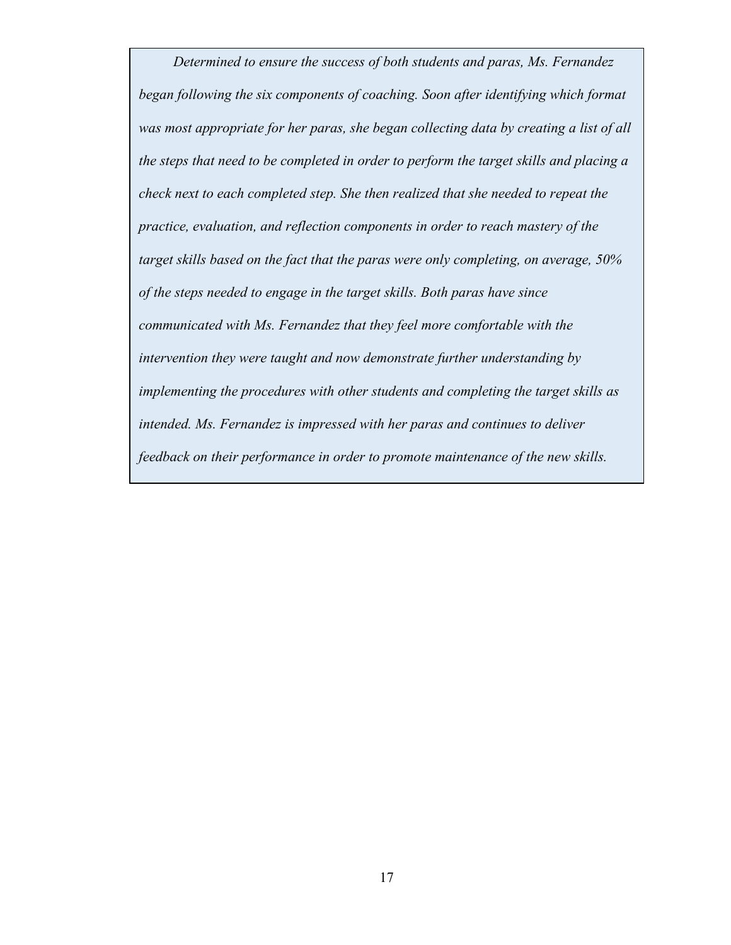*Determined to ensure the success of both students and paras, Ms. Fernandez began following the six components of coaching. Soon after identifying which format was most appropriate for her paras, she began collecting data by creating a list of all the steps that need to be completed in order to perform the target skills and placing a check next to each completed step. She then realized that she needed to repeat the practice, evaluation, and reflection components in order to reach mastery of the target skills based on the fact that the paras were only completing, on average, 50% of the steps needed to engage in the target skills. Both paras have since communicated with Ms. Fernandez that they feel more comfortable with the intervention they were taught and now demonstrate further understanding by implementing the procedures with other students and completing the target skills as intended. Ms. Fernandez is impressed with her paras and continues to deliver feedback on their performance in order to promote maintenance of the new skills.*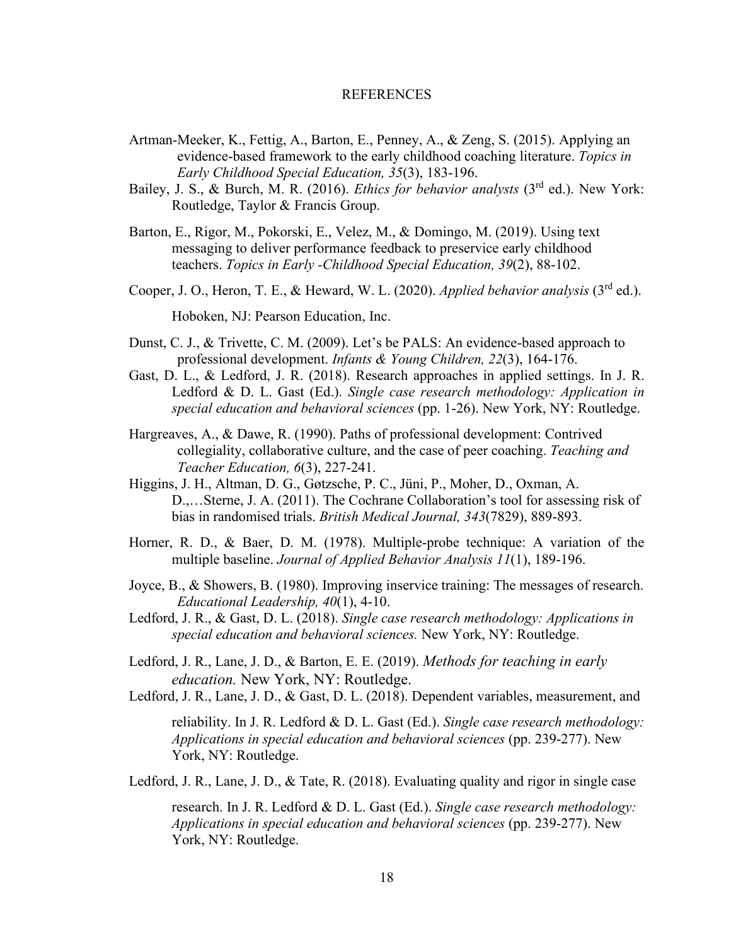#### REFERENCES

- <span id="page-26-0"></span>Artman-Meeker, K., Fettig, A., Barton, E., Penney, A., & Zeng, S. (2015). Applying an evidence-based framework to the early childhood coaching literature. *Topics in Early Childhood Special Education, 35*(3), 183-196.
- Bailey, J. S., & Burch, M. R. (2016). *Ethics for behavior analysts* (3rd ed.). New York: Routledge, Taylor & Francis Group.
- Barton, E., Rigor, M., Pokorski, E., Velez, M., & Domingo, M. (2019). Using text messaging to deliver performance feedback to preservice early childhood teachers. *Topics in Early -Childhood Special Education, 39*(2), 88-102.
- Cooper, J. O., Heron, T. E., & Heward, W. L. (2020). *Applied behavior analysis* (3rd ed.).

Hoboken, NJ: Pearson Education, Inc.

- Dunst, C. J., & Trivette, C. M. (2009). Let's be PALS: An evidence-based approach to professional development. *Infants & Young Children, 22*(3), 164-176.
- Gast, D. L., & Ledford, J. R. (2018). Research approaches in applied settings. In J. R. Ledford & D. L. Gast (Ed.). *Single case research methodology: Application in special education and behavioral sciences* (pp. 1-26). New York, NY: Routledge.
- Hargreaves, A., & Dawe, R. (1990). Paths of professional development: Contrived collegiality, collaborative culture, and the case of peer coaching. *Teaching and Teacher Education, 6*(3), 227-241.
- Higgins, J. H., Altman, D. G., Gøtzsche, P. C., Jüni, P., Moher, D., Oxman, A. D.,…Sterne, J. A. (2011). The Cochrane Collaboration's tool for assessing risk of bias in randomised trials. *British Medical Journal, 343*(7829), 889-893.
- Horner, R. D., & Baer, D. M. (1978). Multiple-probe technique: A variation of the multiple baseline. *Journal of Applied Behavior Analysis 11*(1), 189-196.
- Joyce, B., & Showers, B. (1980). Improving inservice training: The messages of research. *Educational Leadership, 40*(1), 4-10.
- Ledford, J. R., & Gast, D. L. (2018). *Single case research methodology: Applications in special education and behavioral sciences.* New York, NY: Routledge.
- Ledford, J. R., Lane, J. D., & Barton, E. E. (2019). *Methods for teaching in early education.* New York, NY: Routledge.
- Ledford, J. R., Lane, J. D., & Gast, D. L. (2018). Dependent variables, measurement, and

reliability. In J. R. Ledford & D. L. Gast (Ed.). *Single case research methodology: Applications in special education and behavioral sciences* (pp. 239-277). New York, NY: Routledge.

Ledford, J. R., Lane, J. D., & Tate, R. (2018). Evaluating quality and rigor in single case

research. In J. R. Ledford & D. L. Gast (Ed.). *Single case research methodology: Applications in special education and behavioral sciences* (pp. 239-277). New York, NY: Routledge.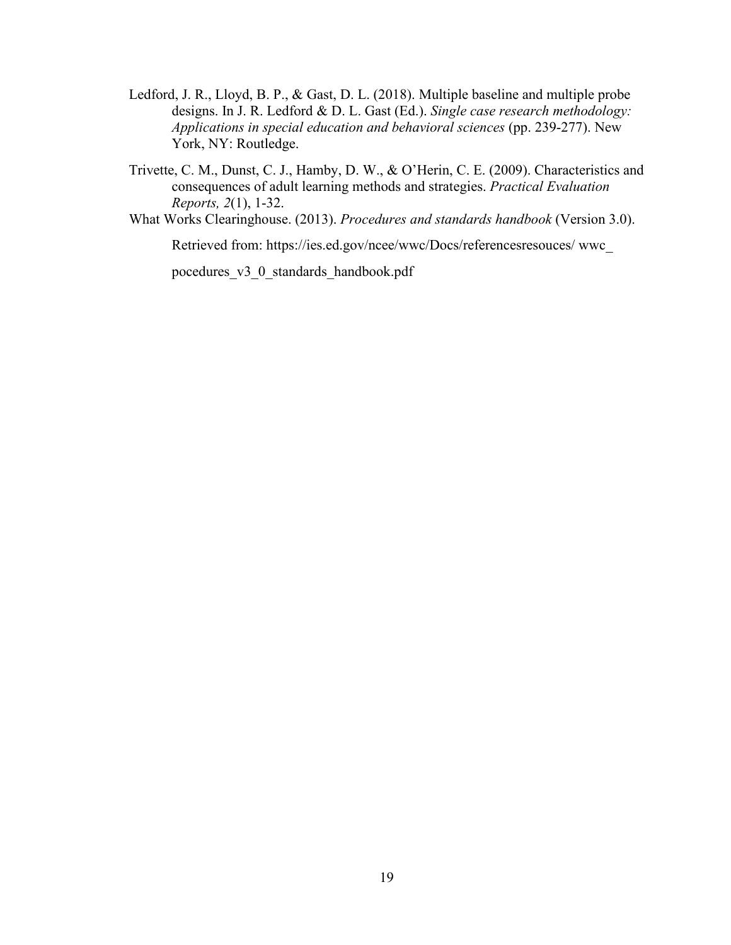- Ledford, J. R., Lloyd, B. P., & Gast, D. L. (2018). Multiple baseline and multiple probe designs. In J. R. Ledford & D. L. Gast (Ed.). *Single case research methodology: Applications in special education and behavioral sciences* (pp. 239-277). New York, NY: Routledge.
- Trivette, C. M., Dunst, C. J., Hamby, D. W., & O'Herin, C. E. (2009). Characteristics and consequences of adult learning methods and strategies. *Practical Evaluation Reports, 2*(1), 1-32.

What Works Clearinghouse. (2013). *Procedures and standards handbook* (Version 3.0).

Retrieved from: https://ies.ed.gov/ncee/wwc/Docs/referencesresouces/ wwc\_

pocedures\_v3\_0\_standards\_handbook.pdf